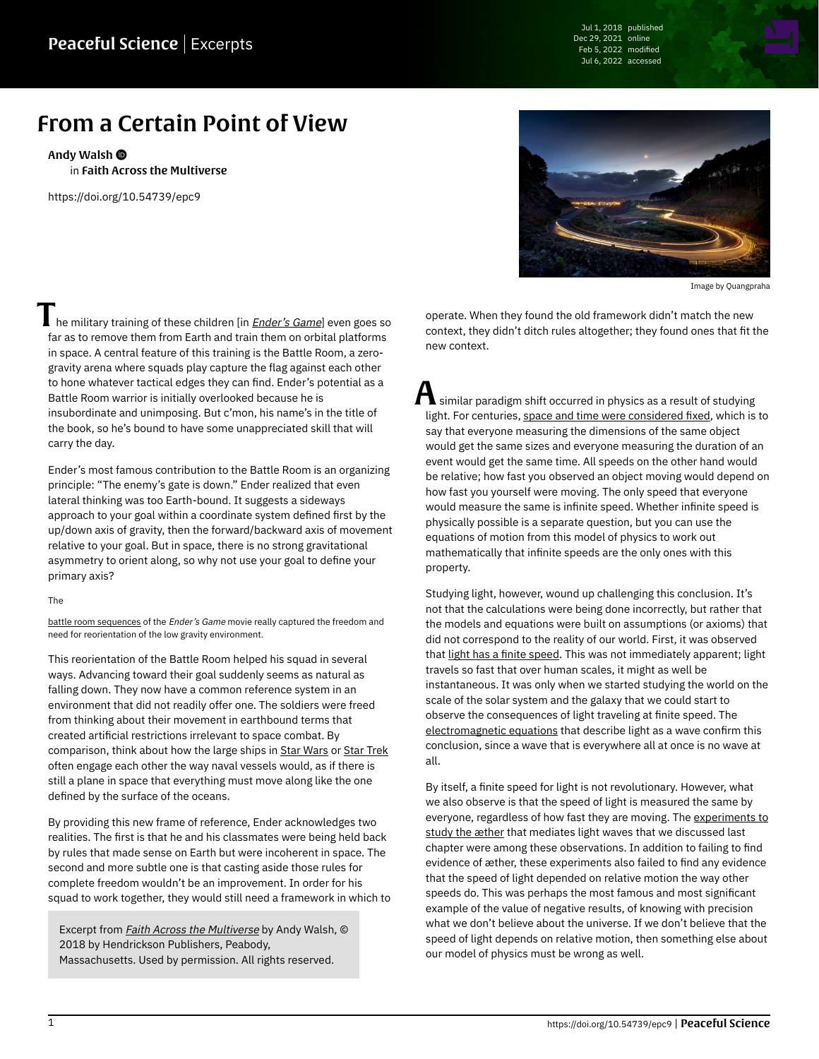Jul 1, 2018 published Dec 29, 2021 online Feb 5, 2022 modified Jul 6, 2022 accessed

## From a Certain Point of View

[Andy Walsh](https://peacefulscience.org/authors/awalsh/) in [Faith Across the Multiverse](https://peacefulscience.org/books/faith-across-multiverse/)

<https://doi.org/10.54739/epc9>



Image by [Quangpraha](https://pixabay.com/photos/da-lat-vietnam-street-car-mountain-4136346)

he military training of these children [in *[Ender's Game](https://amazon.com/dp/1250773024/?tag=swamidass-20)*] even goes so far as to remove them from Earth and train them on orbital platforms in space. A central feature of this training is the Battle Room, a zerogravity arena where squads play capture the flag against each other to hone whatever tactical edges they can find. Ender's potential as a Battle Room warrior is initially overlooked because he is insubordinate and unimposing. But c'mon, his name's in the title of the book, so he's bound to have some unappreciated skill that will carry the day.

Ender's most famous contribution to the Battle Room is an organizing principle: "The enemy's gate is down." Ender realized that even lateral thinking was too Earth-bound. It suggests a sideways approach to your goal within a coordinate system defined first by the up/down axis of gravity, then the forward/backward axis of movement relative to your goal. But in space, there is no strong gravitational asymmetry to orient along, so why not use your goal to define your primary axis?

## The

[battle room sequences](https://www.fxguide.com/fxfeatured/enders-game-how-dd-made-zero-g) of the *Ender's Game* movie really captured the freedom and need for reorientation of the low gravity environment.

This reorientation of the Battle Room helped his squad in several ways. Advancing toward their goal suddenly seems as natural as falling down. They now have a common reference system in an environment that did not readily offer one. The soldiers were freed from thinking about their movement in earthbound terms that created artificial restrictions irrelevant to space combat. By comparison, think about how the large ships in [Star Wars](https://starwars.fandom.com/wiki/Imperial_I-class_Star_Destroyer) or [Star Trek](https://memory-alpha.fandom.com/wiki/USS_Enterprise_%28NCC-1701%29) often engage each other the way naval vessels would, as if there is still a plane in space that everything must move along like the one defined by the surface of the oceans.

By providing this new frame of reference, Ender acknowledges two realities. The first is that he and his classmates were being held back by rules that made sense on Earth but were incoherent in space. The second and more subtle one is that casting aside those rules for complete freedom wouldn't be an improvement. In order for his squad to work together, they would still need a framework in which to

Excerpt from *[Faith Across the Multiverse](https://peacefulscience.org/books/faith-across-multiverse/)* by Andy Walsh, © 2018 by Hendrickson Publishers, Peabody, Massachusetts. Used by permission. All rights reserved.

operate. When they found the old framework didn't match the new context, they didn't ditch rules altogether; they found ones that fit the new context.

 $\blacktriangle$  similar paradigm shift occurred in physics as a result of studying light. For centuries, [space and time were considered fixed](https://en.wikipedia.org/wiki/Absolute_space_and_time), which is to say that everyone measuring the dimensions of the same object would get the same sizes and everyone measuring the duration of an event would get the same time. All speeds on the other hand would be relative; how fast you observed an object moving would depend on how fast you yourself were moving. The only speed that everyone would measure the same is infinite speed. Whether infinite speed is physically possible is a separate question, but you can use the equations of motion from this model of physics to work out mathematically that infinite speeds are the only ones with this property.

Studying light, however, wound up challenging this conclusion. It's not that the calculations were being done incorrectly, but rather that the models and equations were built on assumptions (or axioms) that did not correspond to the reality of our world. First, it was observed that [light has a finite speed](https://en.wikipedia.org/wiki/Speed_of_light#Measurement). This was not immediately apparent; light travels so fast that over human scales, it might as well be instantaneous. It was only when we started studying the world on the scale of the solar system and the galaxy that we could start to observe the consequences of light traveling at finite speed. The [electromagnetic equations](https://en.wikipedia.org/wiki/Electromagnetic_wave_equation) that describe light as a wave confirm this conclusion, since a wave that is everywhere all at once is no wave at all.

By itself, a finite speed for light is not revolutionary. However, what we also observe is that the speed of light is measured the same by everyone, regardless of how fast they are moving. The [experiments to](https://en.wikipedia.org/wiki/Michelson%E2%80%93Morley_experiment) [study the æther](https://en.wikipedia.org/wiki/Michelson%E2%80%93Morley_experiment) that mediates light waves that we discussed last chapter were among these observations. In addition to failing to find evidence of æther, these experiments also failed to find any evidence that the speed of light depended on relative motion the way other speeds do. This was perhaps the most famous and most significant example of the value of negative results, of knowing with precision what we don't believe about the universe. If we don't believe that the speed of light depends on relative motion, then something else about our model of physics must be wrong as well.